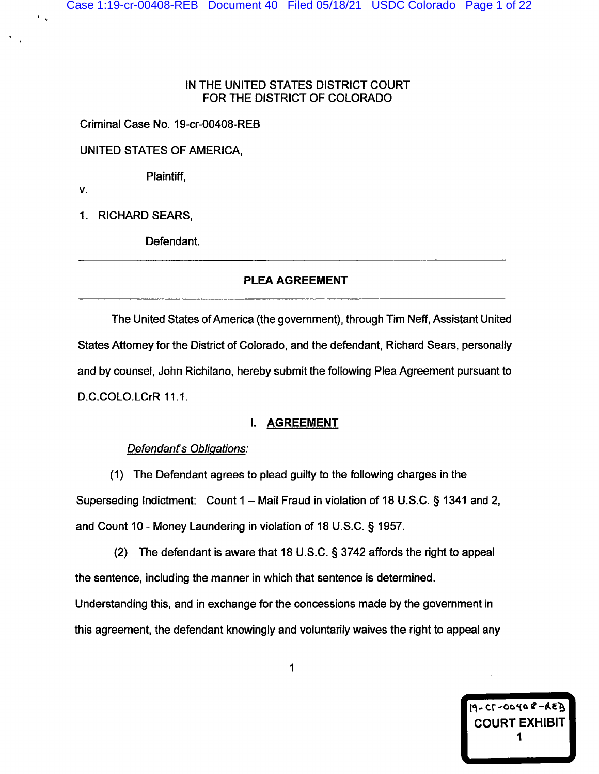# IN THE UNITED STATES DISTRICT COURT FOR THE DISTRICT OF COLORADO

Criminal Case No. 19-cr-00408-REB

UNITED STATES OF AMERICA,

Plaintiff,

V.

 $\mathbf{v}_{\mathbf{v}}$ 

1. RICHARD SEARS,

Defendant.

# **PLEA AGREEMENT**

The United States of America (the government), through Tim Neff, Assistant United States Attorney for the District of Colorado, and the defendant, Richard Sears, personally and by counsel, John Richilano, hereby submit the following Plea Agreement pursuant to D.C.COLO.LCrR 11.1.

## I. AGREEMENT

## Defendant's Obligations:

(1) The Defendant agrees to plead guilty to the following charges in the Superseding Indictment: Count 1 - Mail Fraud in violation of 18 U.S.C. § 1341 and 2, and Count 10 - Money Laundering in violation of 18 U.S.C. § 1957.

(2) The defendant is aware that 18 U.S.C.  $\S$  3742 affords the right to appeal the sentence, including the manner in which that sentence is determined. Understanding this, and in exchange for the concessions made by the government in this agreement, the defendant knowingly and voluntarily waives the right to appeal any

134-80400-72-19 **COURT EXHIBIT**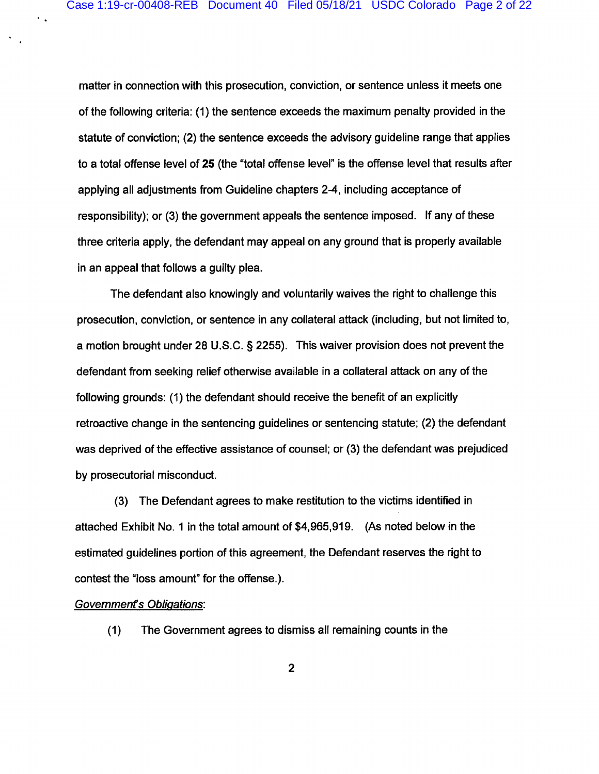matter in connection with this prosecution, conviction, or sentence unless it meets one of the following criteria: (1) the sentence exceeds the maximum penalty provided in the statute of conviction; (2) the sentence exceeds the advisory guideline range that applies to a total offense level of 25 (the "total offense level" is the offense level that results after applying all adjustments from Guideline chapters 2-4, including acceptance of responsibility); or (3) the government appeals the sentence imposed. If any of these three criteria apply, the defendant may appeal on any ground that is properly available in an appeal that follows a guilty plea.

The defendant also knowingly and voluntarily waives the right to challenge this prosecution, conviction, or sentence in any collateral attack (including, but not limited to, a motion brought under 28 U.S.C. § 2255). This waiver provision does not prevent the defendant from seeking relief otherwise available in a collateral attack on any of the following grounds: (1) the defendant should receive the benefit of an explicitly retroactive change in the sentencing guidelines or sentencing statute; (2) the defendant was deprived of the effective assistance of counsel; or (3) the defendant was prejudiced by prosecutorial misconduct.

(3) The Defendant agrees to make restitution to the victims identified in attached Exhibit No. 1 in the total amount of \$4,965,919. (As noted below in the estimated guidelines portion of this agreement, the Defendant reserves the right to contest the "loss amount" for the offense.).

#### **Government's Obligations:**

 $\mathbf{v}_{\rm{in}}$ 

The Government agrees to dismiss all remaining counts in the  $(1)$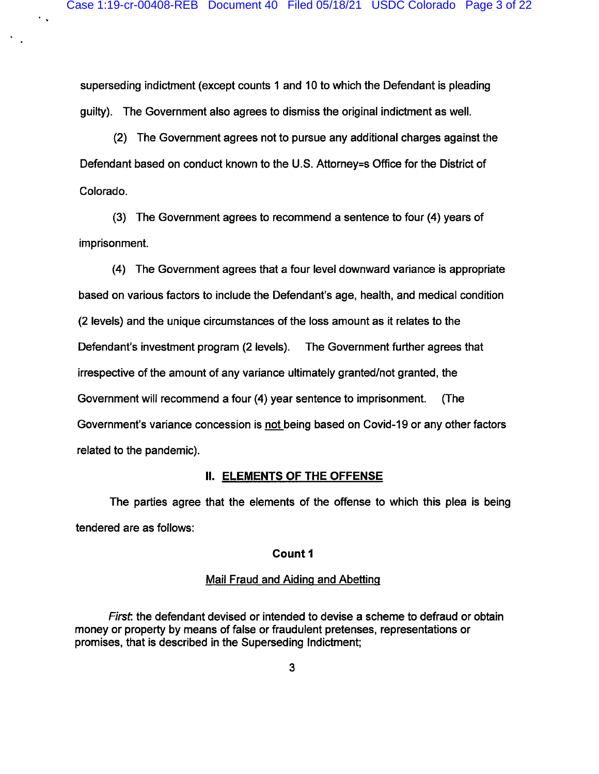$\ddot{\phantom{0}}$ 

superseding indictment (except counts 1 and 10 to which the Defendant is pleading guilty). The Government also agrees to dismiss the original indictment as well.

(2) The Government agrees not to pursue any additional charges against the Defendant based on conduct known to the U.S. Attorney=s Office for the District of Colorado.

(3) The Government agrees to recommend a sentence to four (4) years of imprisonment.

(4) The Government agrees that a four level downward variance is appropriate based on various factors to include the Defendant's age, health, and medical condition (2 levels) and the unique circumstances of the loss amount as it relates to the Defendant's investment program (2 levels). The Government further agrees that irrespective of the amount of any variance ultimately granted/not granted, the Government will recommend a four (4) year sentence to imprisonment. (The Government's variance concession is not being based on Covid-19 or any other factors related to the pandemic).

# II. ELEMENTS OF THE OFFENSE

The parties agree that the elements of the offense to which this plea is being tendered are as follows:

#### **Count 1**

## **Mail Fraud and Aiding and Abetting**

First: the defendant devised or intended to devise a scheme to defraud or obtain money or property by means of false or fraudulent pretenses, representations or promises, that is described in the Superseding Indictment;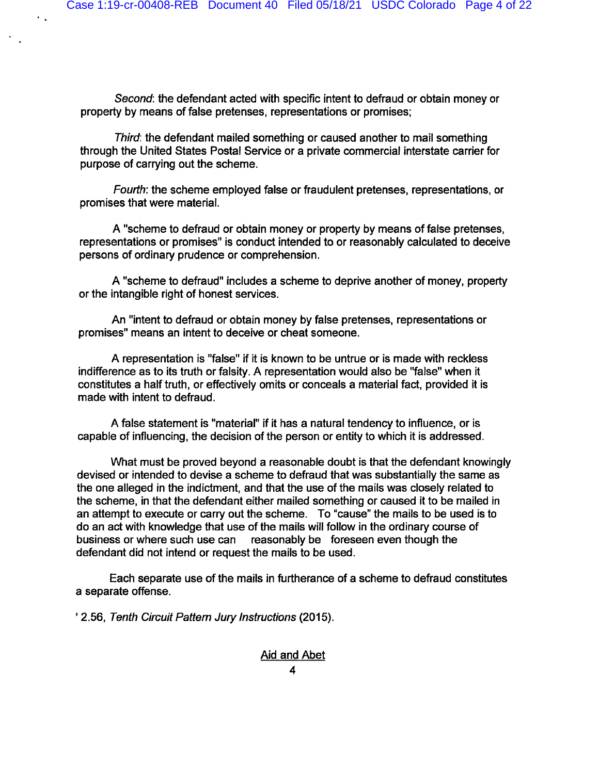Second: the defendant acted with specific intent to defraud or obtain money or property by means of false pretenses, representations or promises;

Third: the defendant mailed something or caused another to mail something through the United States Postal Service or a private commercial interstate carrier for purpose of carrying out the scheme.

Fourth: the scheme employed false or fraudulent pretenses, representations, or promises that were material.

A "scheme to defraud or obtain money or property by means of false pretenses, representations or promises" is conduct intended to or reasonably calculated to deceive persons of ordinary prudence or comprehension.

A "scheme to defraud" includes a scheme to deprive another of money, property or the intangible right of honest services.

An "intent to defraud or obtain money by false pretenses, representations or promises" means an intent to deceive or cheat someone.

A representation is "false" if it is known to be untrue or is made with reckless indifference as to its truth or falsity. A representation would also be "false" when it constitutes a half truth, or effectively omits or conceals a material fact, provided it is made with intent to defraud.

A false statement is "material" if it has a natural tendency to influence, or is capable of influencing, the decision of the person or entity to which it is addressed.

What must be proved beyond a reasonable doubt is that the defendant knowingly devised or intended to devise a scheme to defraud that was substantially the same as the one alleged in the indictment, and that the use of the mails was closely related to the scheme, in that the defendant either mailed something or caused it to be mailed in an attempt to execute or carry out the scheme. To "cause" the mails to be used is to do an act with knowledge that use of the mails will follow in the ordinary course of business or where such use can reasonably be foreseen even though the defendant did not intend or request the mails to be used.

Each separate use of the mails in furtherance of a scheme to defraud constitutes a separate offense.

' 2.56, Tenth Circuit Pattern Jury Instructions (2015).

Aid and Abet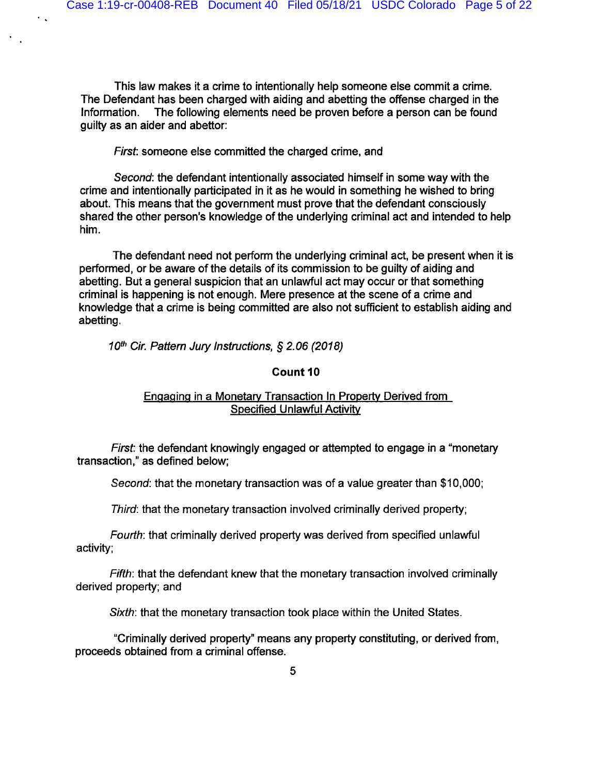This law makes it a crime to intentionally help someone else commit a crime. The Defendant has been charged with aiding and abetting the offense charged in the Information. The following elements need be proven before a person can be found guilty as an aider and abettor:

First: someone else committed the charged crime, and

 $\sim$   $\sim$ 

Second: the defendant intentionally associated himself in some way with the crime and intentionally participated in it as he would in something he wished to bring about. This means that the government must prove that the defendant consciously shared the other person's knowledge of the underlying criminal act and intended to help him.

The defendant need not perform the underlying criminal act, be present when it is performed, or be aware of the details of its commission to be guilty of aiding and abetting. But a general suspicion that an unlawful act may occur or that something criminal is happening is not enough. Mere presence at the scene of a crime and knowledge that a crime is being committed are also not sufficient to establish aiding and abetting.

10<sup>th</sup> Cir. Pattern Jury Instructions, § 2.06 (2018)

## Count 10

# Engaging in a Monetary Transaction In Property Derived from **Specified Unlawful Activity**

First: the defendant knowingly engaged or attempted to engage in a "monetary" transaction," as defined below;

Second: that the monetary transaction was of a value greater than \$10,000;

Third: that the monetary transaction involved criminally derived property;

Fourth: that criminally derived property was derived from specified unlawful activity;

Fifth: that the defendant knew that the monetary transaction involved criminally derived property; and

Sixth: that the monetary transaction took place within the United States.

"Criminally derived property" means any property constituting, or derived from, proceeds obtained from a criminal offense.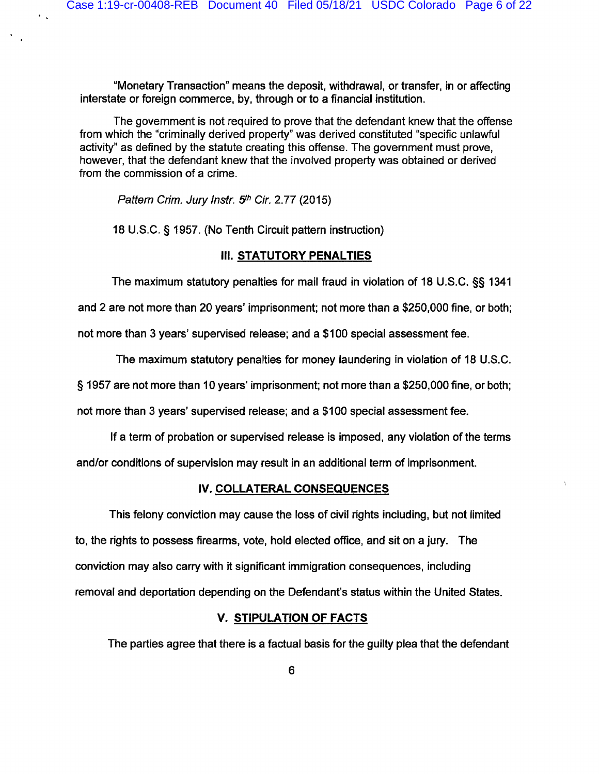"Monetary Transaction" means the deposit, withdrawal, or transfer, in or affecting interstate or foreign commerce, by, through or to a financial institution.

The government is not required to prove that the defendant knew that the offense from which the "criminally derived property" was derived constituted "specific unlawful activity" as defined by the statute creating this offense. The government must prove, however, that the defendant knew that the involved property was obtained or derived from the commission of a crime.

Pattern Crim. Jury Instr. 5th Cir. 2.77 (2015)

 $\ddot{\phantom{0}}$ 

18 U.S.C. § 1957. (No Tenth Circuit pattern instruction)

#### **III. STATUTORY PENALTIES**

The maximum statutory penalties for mail fraud in violation of 18 U.S.C. §§ 1341

and 2 are not more than 20 years' imprisonment; not more than a \$250,000 fine, or both;

not more than 3 years' supervised release; and a \$100 special assessment fee.

The maximum statutory penalties for money laundering in violation of 18 U.S.C.

§ 1957 are not more than 10 years' imprisonment; not more than a \$250,000 fine, or both;

not more than 3 years' supervised release; and a \$100 special assessment fee.

If a term of probation or supervised release is imposed, any violation of the terms and/or conditions of supervision may result in an additional term of imprisonment.

## IV. COLLATERAL CONSEQUENCES

This felony conviction may cause the loss of civil rights including, but not limited to, the rights to possess firearms, vote, hold elected office, and sit on a jury. The conviction may also carry with it significant immigration consequences, including removal and deportation depending on the Defendant's status within the United States.

## **V. STIPULATION OF FACTS**

The parties agree that there is a factual basis for the guilty plea that the defendant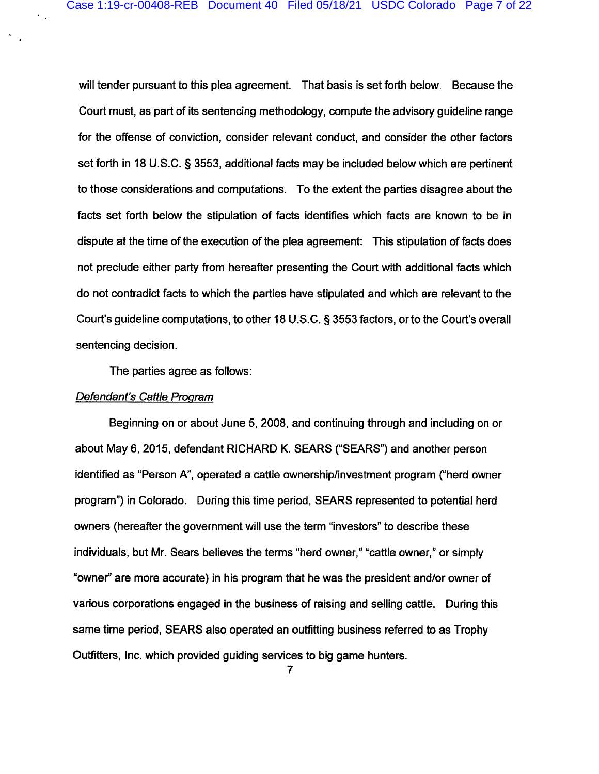will tender pursuant to this plea agreement. That basis is set forth below. Because the Court must, as part of its sentencing methodology, compute the advisory guideline range for the offense of conviction, consider relevant conduct, and consider the other factors set forth in 18 U.S.C. § 3553, additional facts may be included below which are pertinent to those considerations and computations. To the extent the parties disagree about the facts set forth below the stipulation of facts identifies which facts are known to be in dispute at the time of the execution of the plea agreement: This stipulation of facts does not preclude either party from hereafter presenting the Court with additional facts which do not contradict facts to which the parties have stipulated and which are relevant to the Court's guideline computations, to other 18 U.S.C. § 3553 factors, or to the Court's overall sentencing decision.

The parties agree as follows:

#### Defendant's Cattle Program

Beginning on or about June 5, 2008, and continuing through and including on or about May 6, 2015, defendant RICHARD K. SEARS ("SEARS") and another person identified as "Person A", operated a cattle ownership/investment program ("herd owner program") in Colorado. During this time period, SEARS represented to potential herd owners (hereafter the government will use the term "investors" to describe these individuals, but Mr. Sears believes the terms "herd owner," "cattle owner," or simply "owner" are more accurate) in his program that he was the president and/or owner of various corporations engaged in the business of raising and selling cattle. During this same time period, SEARS also operated an outfitting business referred to as Trophy Outfitters, Inc. which provided guiding services to big game hunters.

 $\overline{7}$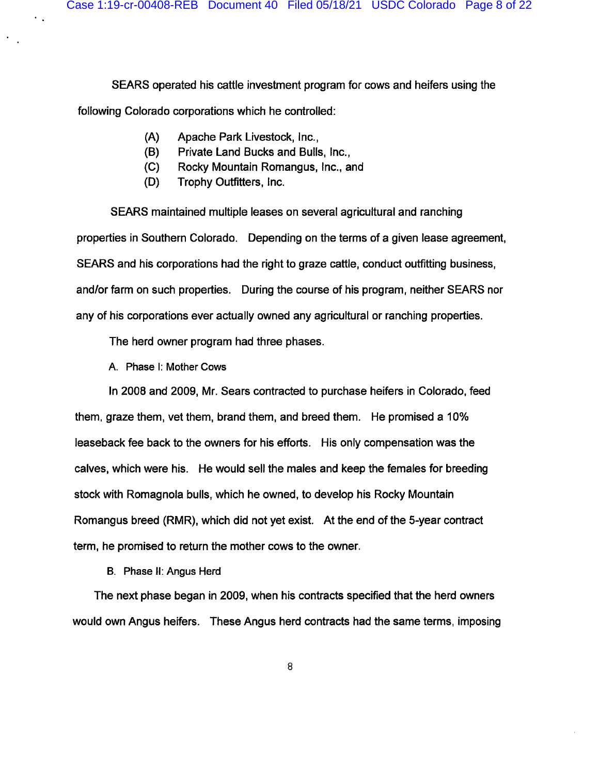SEARS operated his cattle investment program for cows and heifers using the

following Colorado corporations which he controlled:

 $\sim$   $\sim$ 

- $(A)$ Apache Park Livestock, Inc.,
- Private Land Bucks and Bulls, Inc., (B)
- Rocky Mountain Romangus, Inc., and  $(C)$
- Trophy Outfitters, Inc. (D)

SEARS maintained multiple leases on several agricultural and ranching properties in Southern Colorado. Depending on the terms of a given lease agreement, SEARS and his corporations had the right to graze cattle, conduct outfitting business, and/or farm on such properties. During the course of his program, neither SEARS nor any of his corporations ever actually owned any agricultural or ranching properties.

The herd owner program had three phases.

A. Phase I: Mother Cows

In 2008 and 2009, Mr. Sears contracted to purchase heifers in Colorado, feed them, graze them, vet them, brand them, and breed them. He promised a 10% leaseback fee back to the owners for his efforts. His only compensation was the calves, which were his. He would sell the males and keep the females for breeding stock with Romagnola bulls, which he owned, to develop his Rocky Mountain Romangus breed (RMR), which did not yet exist. At the end of the 5-year contract term, he promised to return the mother cows to the owner.

B. Phase II: Angus Herd

The next phase began in 2009, when his contracts specified that the herd owners would own Angus heifers. These Angus herd contracts had the same terms, imposing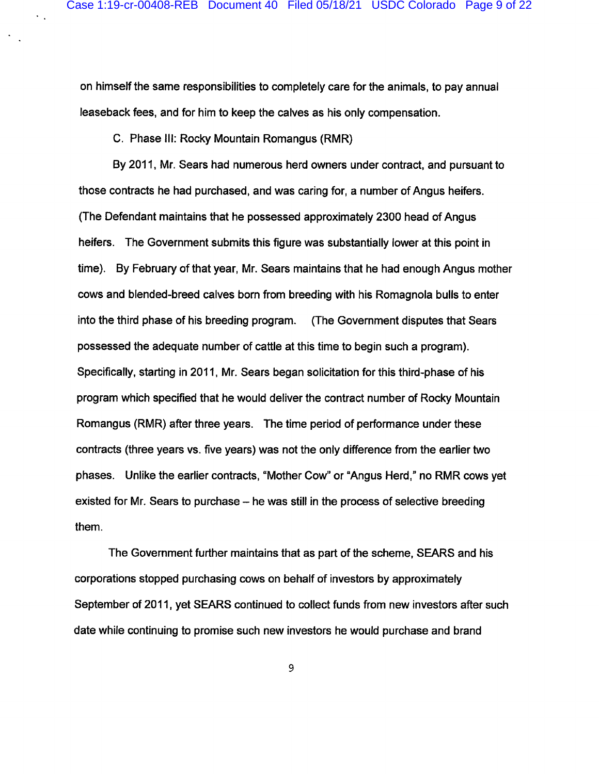on himself the same responsibilities to completely care for the animals, to pay annual leaseback fees, and for him to keep the calves as his only compensation.

C. Phase III: Rocky Mountain Romangus (RMR)

 $\epsilon_{\rm{th}}$ 

By 2011, Mr. Sears had numerous herd owners under contract, and pursuant to those contracts he had purchased, and was caring for, a number of Angus heifers. (The Defendant maintains that he possessed approximately 2300 head of Angus heifers. The Government submits this figure was substantially lower at this point in time). By February of that year, Mr. Sears maintains that he had enough Angus mother cows and blended-breed calves born from breeding with his Romagnola bulls to enter into the third phase of his breeding program. (The Government disputes that Sears possessed the adequate number of cattle at this time to begin such a program). Specifically, starting in 2011, Mr. Sears began solicitation for this third-phase of his program which specified that he would deliver the contract number of Rocky Mountain Romangus (RMR) after three years. The time period of performance under these contracts (three years vs. five years) was not the only difference from the earlier two phases. Unlike the earlier contracts, "Mother Cow" or "Angus Herd," no RMR cows yet existed for Mr. Sears to purchase – he was still in the process of selective breeding them.

The Government further maintains that as part of the scheme, SEARS and his corporations stopped purchasing cows on behalf of investors by approximately September of 2011, yet SEARS continued to collect funds from new investors after such date while continuing to promise such new investors he would purchase and brand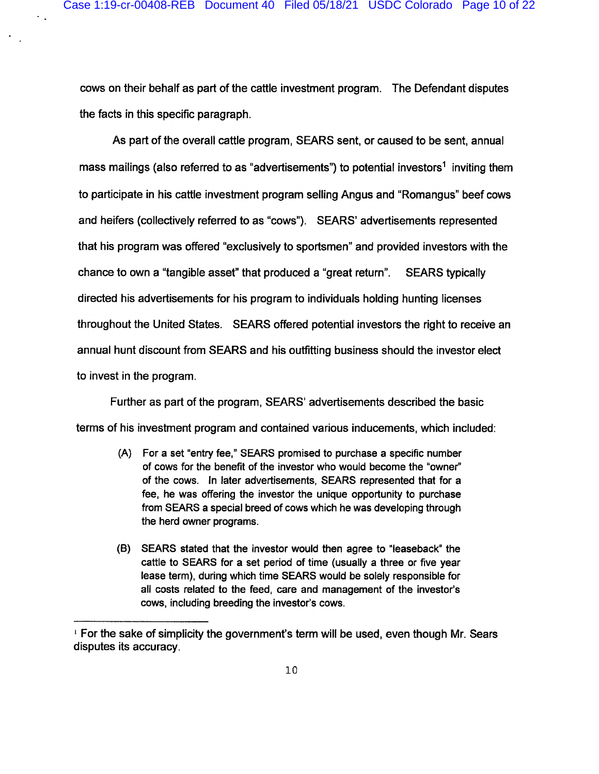cows on their behalf as part of the cattle investment program. The Defendant disputes the facts in this specific paragraph.

As part of the overall cattle program, SEARS sent, or caused to be sent, annual mass mailings (also referred to as "advertisements") to potential investors<sup>1</sup> inviting them to participate in his cattle investment program selling Angus and "Romangus" beef cows and heifers (collectively referred to as "cows"). SEARS' advertisements represented that his program was offered "exclusively to sportsmen" and provided investors with the chance to own a "tangible asset" that produced a "great return". SEARS typically directed his advertisements for his program to individuals holding hunting licenses throughout the United States. SEARS offered potential investors the right to receive an annual hunt discount from SEARS and his outfitting business should the investor elect to invest in the program.

Further as part of the program, SEARS' advertisements described the basic terms of his investment program and contained various inducements, which included:

- (A) For a set "entry fee," SEARS promised to purchase a specific number of cows for the benefit of the investor who would become the "owner" of the cows. In later advertisements, SEARS represented that for a fee, he was offering the investor the unique opportunity to purchase from SEARS a special breed of cows which he was developing through the herd owner programs.
- (B) SEARS stated that the investor would then agree to "leaseback" the cattle to SEARS for a set period of time (usually a three or five year lease term), during which time SEARS would be solely responsible for all costs related to the feed, care and management of the investor's cows, including breeding the investor's cows.

<sup>&</sup>lt;sup>1</sup> For the sake of simplicity the government's term will be used, even though Mr. Sears disputes its accuracy.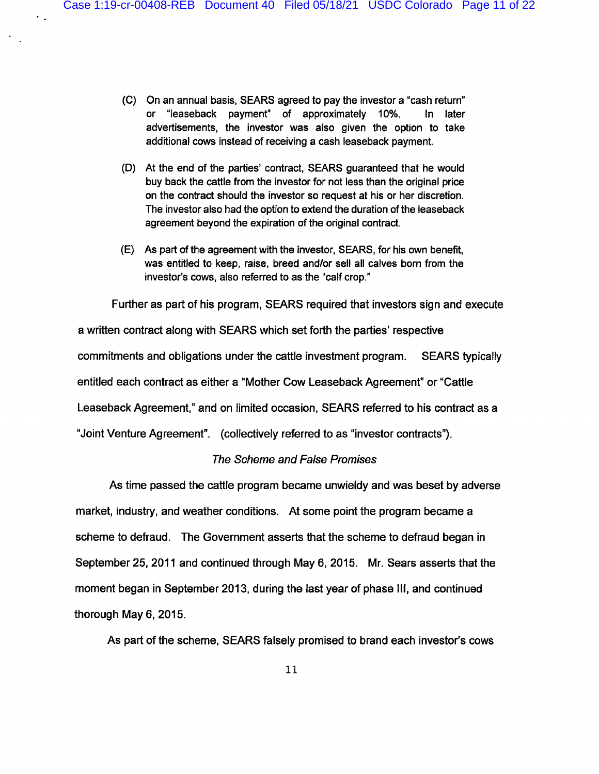$\sim$   $\sim$ 

- (C) On an annual basis, SEARS agreed to pay the investor a "cash return" or "leaseback payment" of approximately 10%. In later advertisements, the investor was also given the option to take additional cows instead of receiving a cash leaseback payment.
- (D) At the end of the parties' contract, SEARS guaranteed that he would buy back the cattle from the investor for not less than the original price on the contract should the investor so request at his or her discretion. The investor also had the option to extend the duration of the leaseback agreement beyond the expiration of the original contract.
- (E) As part of the agreement with the investor, SEARS, for his own benefit, was entitled to keep, raise, breed and/or sell all calves born from the investor's cows, also referred to as the "calf crop."

Further as part of his program, SEARS required that investors sign and execute a written contract along with SEARS which set forth the parties' respective commitments and obligations under the cattle investment program. SEARS typically entitled each contract as either a "Mother Cow Leaseback Agreement" or "Cattle Leaseback Agreement," and on limited occasion, SEARS referred to his contract as a "Joint Venture Agreement". (collectively referred to as "investor contracts").

## The Scheme and False Promises

As time passed the cattle program became unwieldy and was beset by adverse market, industry, and weather conditions. At some point the program became a scheme to defraud. The Government asserts that the scheme to defraud began in September 25, 2011 and continued through May 6, 2015. Mr. Sears asserts that the moment began in September 2013, during the last year of phase III, and continued thorough May 6, 2015.

As part of the scheme, SEARS falsely promised to brand each investor's cows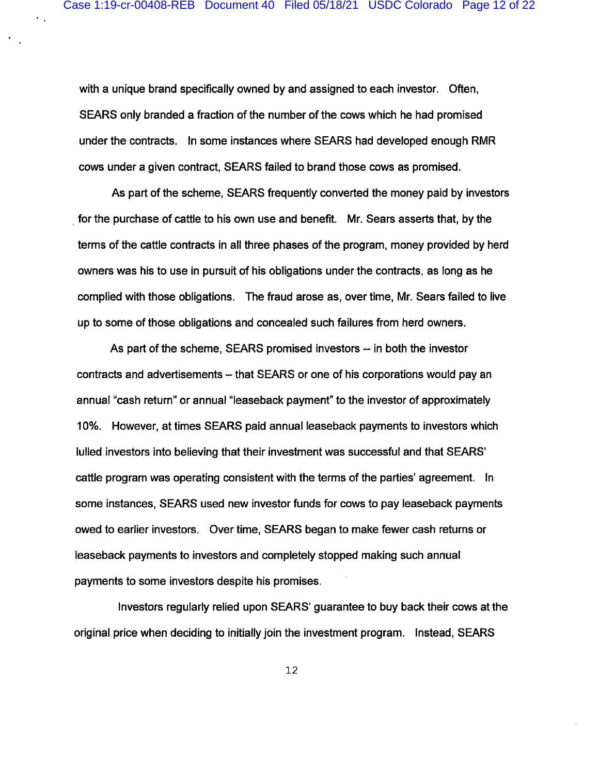with a unique brand specifically owned by and assigned to each investor. Often, SEARS only branded a fraction of the number of the cows which he had promised under the contracts. In some instances where SEARS had developed enough RMR cows under a given contract, SEARS failed to brand those cows as promised.

As part of the scheme, SEARS frequently converted the money paid by investors for the purchase of cattle to his own use and benefit. Mr. Sears asserts that, by the terms of the cattle contracts in all three phases of the program, money provided by herd owners was his to use in pursuit of his obligations under the contracts, as long as he complied with those obligations. The fraud arose as, over time, Mr. Sears failed to live up to some of those obligations and concealed such failures from herd owners.

As part of the scheme, SEARS promised investors -- in both the investor contracts and advertisements – that SEARS or one of his corporations would pay an annual "cash return" or annual "leaseback payment" to the investor of approximately 10%. However, at times SEARS paid annual leaseback payments to investors which lulled investors into believing that their investment was successful and that SEARS' cattle program was operating consistent with the terms of the parties' agreement. In some instances, SEARS used new investor funds for cows to pay leaseback payments owed to earlier investors. Over time, SEARS began to make fewer cash returns or leaseback payments to investors and completely stopped making such annual payments to some investors despite his promises.

Investors regularly relied upon SEARS' guarantee to buy back their cows at the original price when deciding to initially join the investment program. Instead, SEARS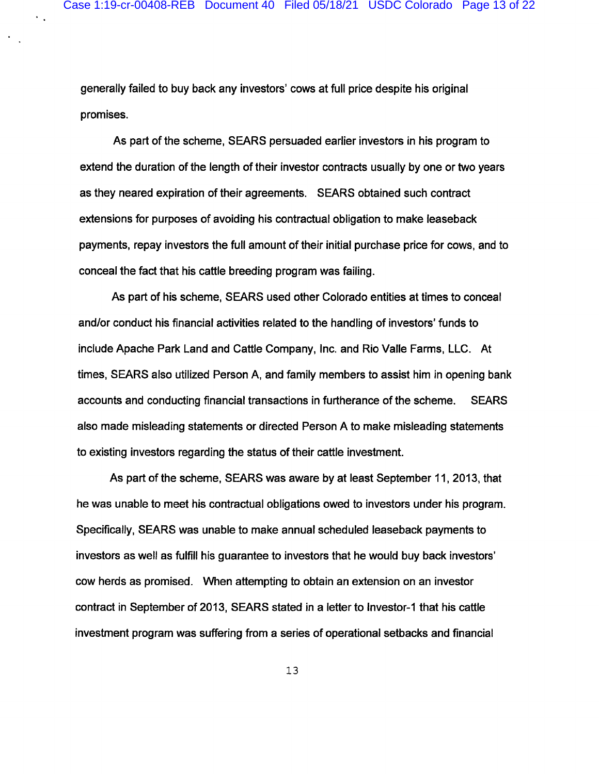generally failed to buy back any investors' cows at full price despite his original promises.

As part of the scheme, SEARS persuaded earlier investors in his program to extend the duration of the length of their investor contracts usually by one or two years as they neared expiration of their agreements. SEARS obtained such contract extensions for purposes of avoiding his contractual obligation to make leaseback payments, repay investors the full amount of their initial purchase price for cows, and to conceal the fact that his cattle breeding program was failing.

As part of his scheme, SEARS used other Colorado entities at times to conceal and/or conduct his financial activities related to the handling of investors' funds to include Apache Park Land and Cattle Company, Inc. and Rio Valle Farms, LLC. At times, SEARS also utilized Person A, and family members to assist him in opening bank accounts and conducting financial transactions in furtherance of the scheme. **SEARS** also made misleading statements or directed Person A to make misleading statements to existing investors regarding the status of their cattle investment.

As part of the scheme, SEARS was aware by at least September 11, 2013, that he was unable to meet his contractual obligations owed to investors under his program. Specifically, SEARS was unable to make annual scheduled leaseback payments to investors as well as fulfill his guarantee to investors that he would buy back investors' cow herds as promised. When attempting to obtain an extension on an investor contract in September of 2013, SEARS stated in a letter to Investor-1 that his cattle investment program was suffering from a series of operational setbacks and financial

13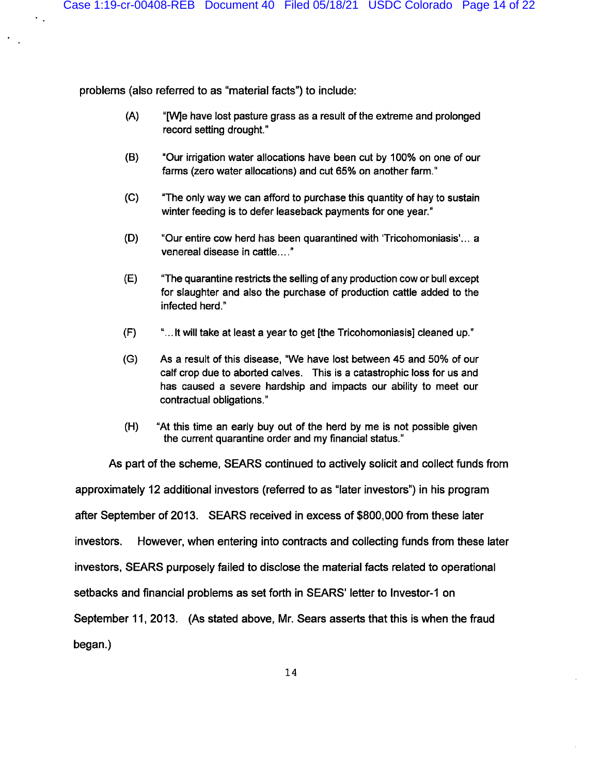problems (also referred to as "material facts") to include:

 $\ddot{\phantom{a}}$  .

- $(A)$ "[W]e have lost pasture grass as a result of the extreme and prolonged record setting drought."
- $(B)$ "Our irrigation water allocations have been cut by 100% on one of our farms (zero water allocations) and cut 65% on another farm."
- $(C)$ "The only way we can afford to purchase this quantity of hay to sustain winter feeding is to defer leaseback payments for one year."
- $(D)$ "Our entire cow herd has been quarantined with 'Tricohomoniasis'... a venereal disease in cattle...."
- $(E)$ "The quarantine restricts the selling of any production cow or bull except for slaughter and also the purchase of production cattle added to the infected herd."
- $(F)$ "... It will take at least a year to get [the Tricohomoniasis] cleaned up."
- $(G)$ As a result of this disease, "We have lost between 45 and 50% of our calf crop due to aborted calves. This is a catastrophic loss for us and has caused a severe hardship and impacts our ability to meet our contractual obligations."
- $(H)$ "At this time an early buy out of the herd by me is not possible given the current quarantine order and my financial status."

As part of the scheme, SEARS continued to actively solicit and collect funds from approximately 12 additional investors (referred to as "later investors") in his program after September of 2013. SEARS received in excess of \$800,000 from these later investors. However, when entering into contracts and collecting funds from these later investors, SEARS purposely failed to disclose the material facts related to operational setbacks and financial problems as set forth in SEARS' letter to Investor-1 on September 11, 2013. (As stated above, Mr. Sears asserts that this is when the fraud began.)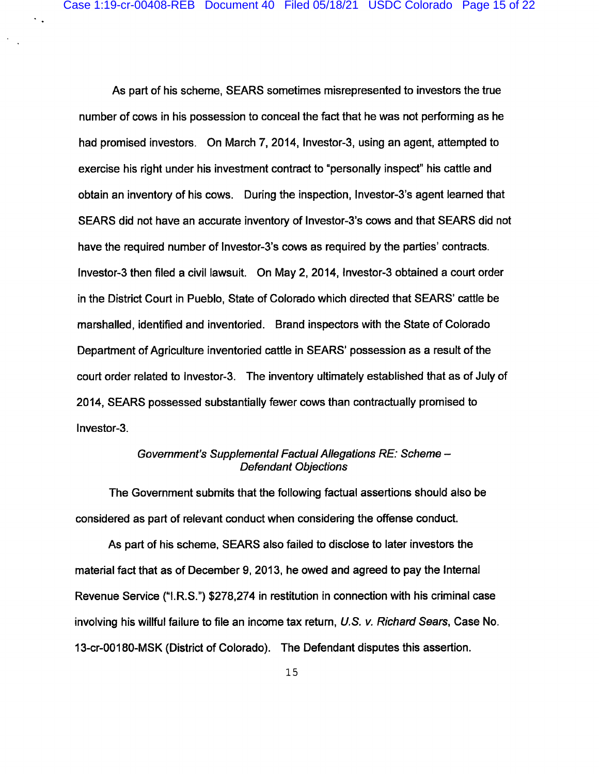As part of his scheme, SEARS sometimes misrepresented to investors the true number of cows in his possession to conceal the fact that he was not performing as he had promised investors. On March 7, 2014, Investor-3, using an agent, attempted to exercise his right under his investment contract to "personally inspect" his cattle and obtain an inventory of his cows. During the inspection, Investor-3's agent learned that SEARS did not have an accurate inventory of Investor-3's cows and that SEARS did not have the required number of Investor-3's cows as required by the parties' contracts. Investor-3 then filed a civil lawsuit. On May 2, 2014, Investor-3 obtained a court order in the District Court in Pueblo, State of Colorado which directed that SEARS' cattle be marshalled, identified and inventoried. Brand inspectors with the State of Colorado Department of Agriculture inventoried cattle in SEARS' possession as a result of the court order related to Investor-3. The inventory ultimately established that as of July of 2014, SEARS possessed substantially fewer cows than contractually promised to Investor-3.

# Government's Supplemental Factual Allegations RE: Scheme -**Defendant Objections**

The Government submits that the following factual assertions should also be considered as part of relevant conduct when considering the offense conduct.

As part of his scheme, SEARS also failed to disclose to later investors the material fact that as of December 9, 2013, he owed and agreed to pay the Internal Revenue Service ("I.R.S.") \$278,274 in restitution in connection with his criminal case involving his willful failure to file an income tax return, U.S. v. Richard Sears, Case No. 13-cr-00180-MSK (District of Colorado). The Defendant disputes this assertion.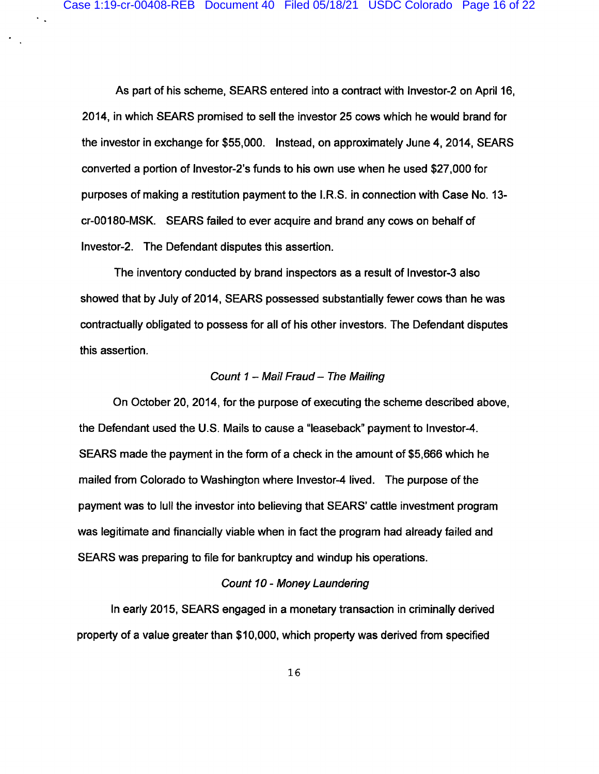$\ddot{\phantom{a}}$  .

As part of his scheme, SEARS entered into a contract with Investor-2 on April 16, 2014, in which SEARS promised to sell the investor 25 cows which he would brand for the investor in exchange for \$55,000. Instead, on approximately June 4, 2014, SEARS converted a portion of Investor-2's funds to his own use when he used \$27,000 for purposes of making a restitution payment to the I.R.S. in connection with Case No. 13cr-00180-MSK. SEARS failed to ever acquire and brand any cows on behalf of Investor-2. The Defendant disputes this assertion.

The inventory conducted by brand inspectors as a result of Investor-3 also showed that by July of 2014, SEARS possessed substantially fewer cows than he was contractually obligated to possess for all of his other investors. The Defendant disputes this assertion.

## Count 1 - Mail Fraud - The Mailing

On October 20, 2014, for the purpose of executing the scheme described above, the Defendant used the U.S. Mails to cause a "leaseback" payment to Investor-4. SEARS made the payment in the form of a check in the amount of \$5,666 which he mailed from Colorado to Washington where Investor-4 lived. The purpose of the payment was to lull the investor into believing that SEARS' cattle investment program was legitimate and financially viable when in fact the program had already failed and SEARS was preparing to file for bankruptcy and windup his operations.

#### **Count 10 - Money Laundering**

In early 2015, SEARS engaged in a monetary transaction in criminally derived property of a value greater than \$10,000, which property was derived from specified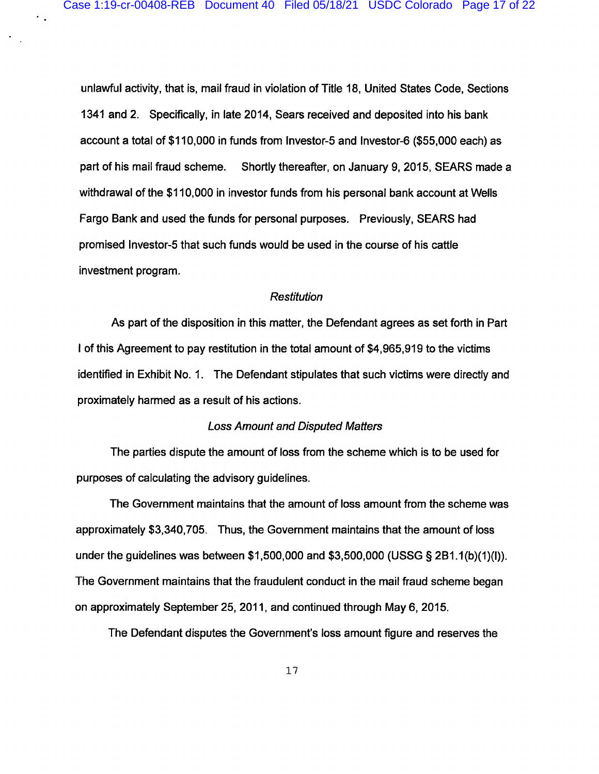٠.

unlawful activity, that is, mail fraud in violation of Title 18, United States Code, Sections 1341 and 2. Specifically, in late 2014, Sears received and deposited into his bank account a total of \$110,000 in funds from Investor-5 and Investor-6 (\$55,000 each) as part of his mail fraud scheme. Shortly thereafter, on January 9, 2015, SEARS made a withdrawal of the \$110,000 in investor funds from his personal bank account at Wells Fargo Bank and used the funds for personal purposes. Previously, SEARS had promised Investor-5 that such funds would be used in the course of his cattle investment program.

## **Restitution**

As part of the disposition in this matter, the Defendant agrees as set forth in Part I of this Agreement to pay restitution in the total amount of \$4,965,919 to the victims identified in Exhibit No. 1. The Defendant stipulates that such victims were directly and proximately harmed as a result of his actions.

#### **Loss Amount and Disputed Matters**

The parties dispute the amount of loss from the scheme which is to be used for purposes of calculating the advisory guidelines.

The Government maintains that the amount of loss amount from the scheme was approximately \$3,340,705. Thus, the Government maintains that the amount of loss under the guidelines was between \$1,500,000 and \$3,500,000 (USSG § 2B1.1(b)(1)(l)). The Government maintains that the fraudulent conduct in the mail fraud scheme began on approximately September 25, 2011, and continued through May 6, 2015.

The Defendant disputes the Government's loss amount figure and reserves the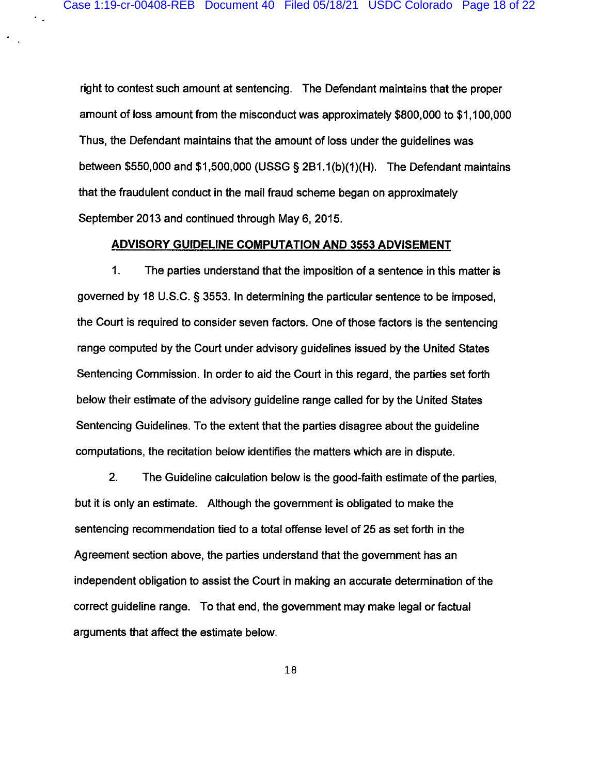right to contest such amount at sentencing. The Defendant maintains that the proper amount of loss amount from the misconduct was approximately \$800,000 to \$1,100,000 Thus, the Defendant maintains that the amount of loss under the guidelines was between \$550,000 and \$1,500,000 (USSG § 2B1.1(b)(1)(H). The Defendant maintains that the fraudulent conduct in the mail fraud scheme began on approximately September 2013 and continued through May 6, 2015.

#### **ADVISORY GUIDELINE COMPUTATION AND 3553 ADVISEMENT**

 $1<sub>1</sub>$ The parties understand that the imposition of a sentence in this matter is governed by 18 U.S.C. § 3553. In determining the particular sentence to be imposed. the Court is required to consider seven factors. One of those factors is the sentencing range computed by the Court under advisory guidelines issued by the United States Sentencing Commission. In order to aid the Court in this regard, the parties set forth below their estimate of the advisory guideline range called for by the United States Sentencing Guidelines. To the extent that the parties disagree about the quideline computations, the recitation below identifies the matters which are in dispute.

 $2.$ The Guideline calculation below is the good-faith estimate of the parties. but it is only an estimate. Although the government is obligated to make the sentencing recommendation tied to a total offense level of 25 as set forth in the Agreement section above, the parties understand that the government has an independent obligation to assist the Court in making an accurate determination of the correct guideline range. To that end, the government may make legal or factual arguments that affect the estimate below.

18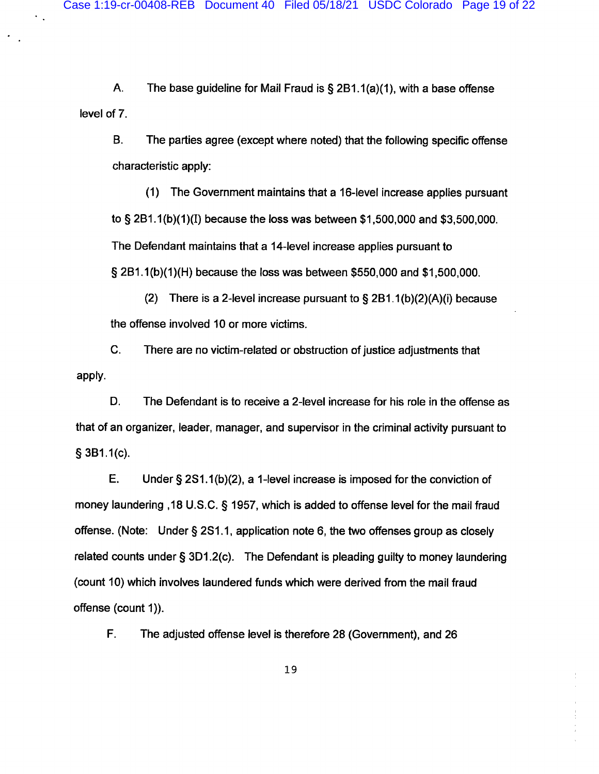A. The base guideline for Mail Fraud is  $\S$  2B1.1(a)(1), with a base offense level of 7.

**B.** The parties agree (except where noted) that the following specific offense characteristic apply:

(1) The Government maintains that a 16-level increase applies pursuant to § 2B1.1(b)(1)(I) because the loss was between \$1,500,000 and \$3,500,000. The Defendant maintains that a 14-level increase applies pursuant to  $\S$  2B1.1(b)(1)(H) because the loss was between \$550,000 and \$1,500,000.

(2) There is a 2-level increase pursuant to  $\S$  2B1.1(b)(2)(A)(i) because the offense involved 10 or more victims.

C. There are no victim-related or obstruction of justice adjustments that apply.

D. The Defendant is to receive a 2-level increase for his role in the offense as that of an organizer, leader, manager, and supervisor in the criminal activity pursuant to  $$3B1.1(c).$ 

E. Under  $\S$  2S1.1(b)(2), a 1-level increase is imposed for the conviction of money laundering 18 U.S.C. § 1957, which is added to offense level for the mail fraud offense. (Note: Under § 2S1.1, application note 6, the two offenses group as closely related counts under § 3D1.2(c). The Defendant is pleading guilty to money laundering (count 10) which involves laundered funds which were derived from the mail fraud offense (count 1)).

F. The adjusted offense level is therefore 28 (Government), and 26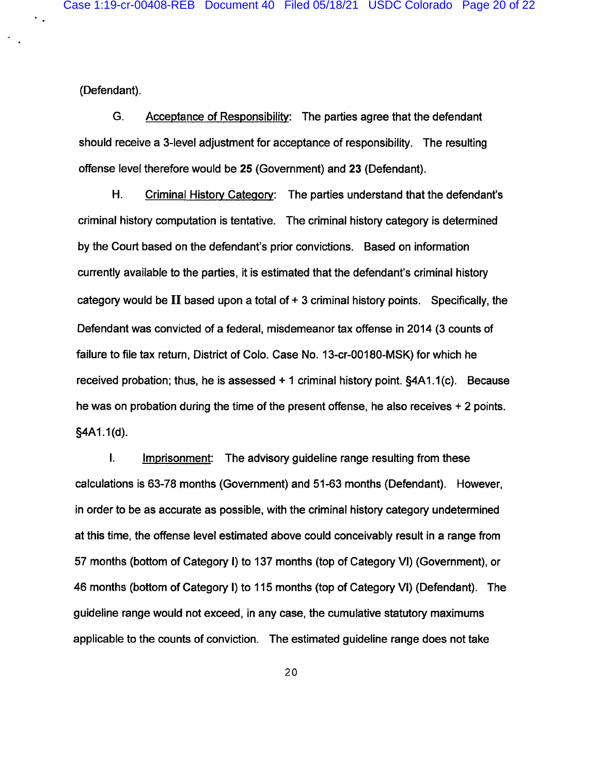(Defendant).

 $\ddot{\phantom{0}}$  .

G. Acceptance of Responsibility: The parties agree that the defendant should receive a 3-level adjustment for acceptance of responsibility. The resulting offense level therefore would be 25 (Government) and 23 (Defendant).

Η. Criminal History Category: The parties understand that the defendant's criminal history computation is tentative. The criminal history category is determined by the Court based on the defendant's prior convictions. Based on information currently available to the parties, it is estimated that the defendant's criminal history category would be  $II$  based upon a total of  $+3$  criminal history points. Specifically, the Defendant was convicted of a federal, misdemeanor tax offense in 2014 (3 counts of failure to file tax return, District of Colo. Case No. 13-cr-00180-MSK) for which he received probation; thus, he is assessed  $+1$  criminal history point.  $\S 4A1.1(c)$ . Because he was on probation during the time of the present offense, he also receives  $+2$  points. §4A1.1(d).

 $\mathbf{I}$ . Imprisonment: The advisory guideline range resulting from these calculations is 63-78 months (Government) and 51-63 months (Defendant). However, in order to be as accurate as possible, with the criminal history category undetermined at this time, the offense level estimated above could conceivably result in a range from 57 months (bottom of Category I) to 137 months (top of Category VI) (Government), or 46 months (bottom of Category I) to 115 months (top of Category VI) (Defendant). The guideline range would not exceed, in any case, the cumulative statutory maximums applicable to the counts of conviction. The estimated guideline range does not take

20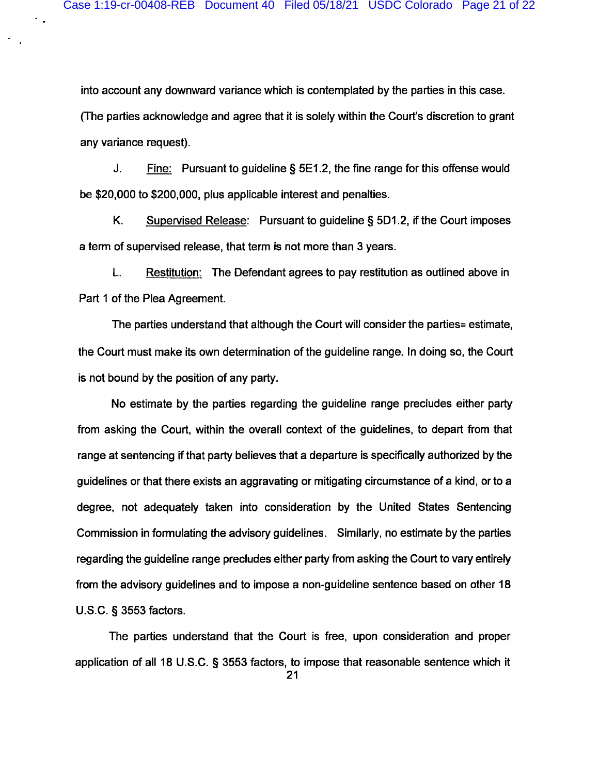$\ddot{\phantom{0}}$  .

into account any downward variance which is contemplated by the parties in this case.

(The parties acknowledge and agree that it is solely within the Court's discretion to grant any variance request).

J. Fine: Pursuant to guideline  $\S$  5E1.2, the fine range for this offense would be \$20,000 to \$200,000, plus applicable interest and penalties.

K. Supervised Release: Pursuant to guideline § 5D1.2, if the Court imposes a term of supervised release, that term is not more than 3 years.

L. Restitution: The Defendant agrees to pay restitution as outlined above in Part 1 of the Plea Agreement.

The parties understand that although the Court will consider the parties= estimate, the Court must make its own determination of the guideline range. In doing so, the Court is not bound by the position of any party.

No estimate by the parties regarding the guideline range precludes either party from asking the Court, within the overall context of the guidelines, to depart from that range at sentencing if that party believes that a departure is specifically authorized by the guidelines or that there exists an aggravating or mitigating circumstance of a kind, or to a degree, not adequately taken into consideration by the United States Sentencing Commission in formulating the advisory guidelines. Similarly, no estimate by the parties regarding the guideline range precludes either party from asking the Court to vary entirely from the advisory guidelines and to impose a non-guideline sentence based on other 18 U.S.C. § 3553 factors.

The parties understand that the Court is free, upon consideration and proper application of all 18 U.S.C. § 3553 factors, to impose that reasonable sentence which it